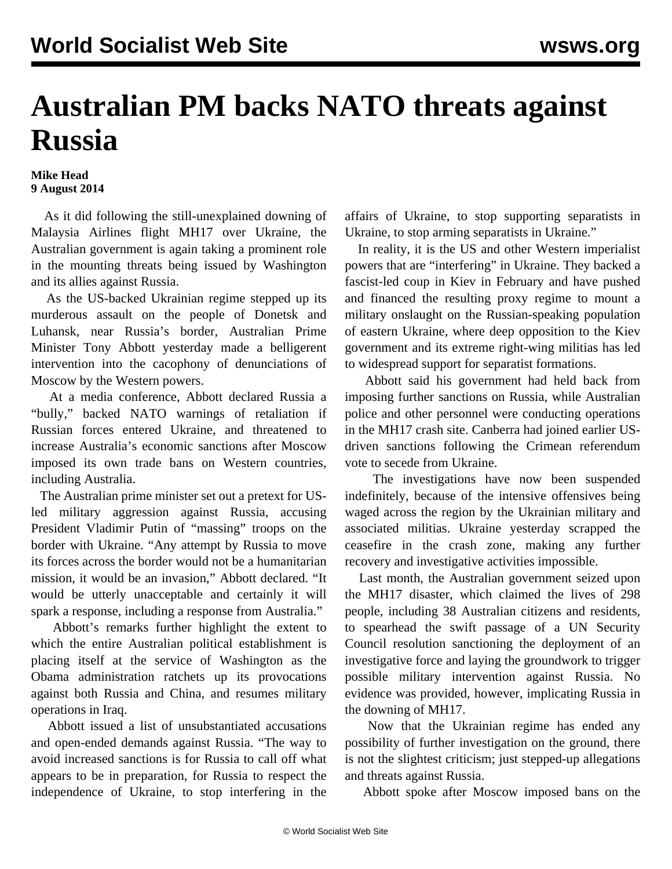## **Australian PM backs NATO threats against Russia**

## **Mike Head 9 August 2014**

 As it did following the still-unexplained downing of Malaysia Airlines flight MH17 over Ukraine, the Australian government is again taking a prominent role in the mounting threats being issued by Washington and its allies against Russia.

 As the US-backed Ukrainian regime stepped up its murderous assault on the people of Donetsk and Luhansk, near Russia's border, Australian Prime Minister Tony Abbott yesterday made a belligerent intervention into the cacophony of denunciations of Moscow by the Western powers.

 At a media conference, Abbott declared Russia a "bully," backed NATO warnings of retaliation if Russian forces entered Ukraine, and threatened to increase Australia's economic sanctions after Moscow imposed its own trade bans on Western countries, including Australia.

 The Australian prime minister set out a pretext for USled military aggression against Russia, accusing President Vladimir Putin of "massing" troops on the border with Ukraine. "Any attempt by Russia to move its forces across the border would not be a humanitarian mission, it would be an invasion," Abbott declared. "It would be utterly unacceptable and certainly it will spark a response, including a response from Australia."

 Abbott's remarks further highlight the extent to which the entire Australian political establishment is placing itself at the service of Washington as the Obama administration ratchets up its provocations against both Russia and China, and resumes military operations in Iraq.

 Abbott issued a list of unsubstantiated accusations and open-ended demands against Russia. "The way to avoid increased sanctions is for Russia to call off what appears to be in preparation, for Russia to respect the independence of Ukraine, to stop interfering in the affairs of Ukraine, to stop supporting separatists in Ukraine, to stop arming separatists in Ukraine."

 In reality, it is the US and other Western imperialist powers that are "interfering" in Ukraine. They backed a fascist-led coup in Kiev in February and have pushed and financed the resulting proxy regime to mount a military onslaught on the Russian-speaking population of eastern Ukraine, where deep opposition to the Kiev government and its extreme right-wing militias has led to widespread support for separatist formations.

 Abbott said his government had held back from imposing further sanctions on Russia, while Australian police and other personnel were conducting operations in the MH17 crash site. Canberra had joined earlier USdriven sanctions following the Crimean referendum vote to secede from Ukraine.

 The investigations have now been suspended indefinitely, because of the intensive offensives being waged across the region by the Ukrainian military and associated militias. Ukraine yesterday scrapped the ceasefire in the crash zone, making any further recovery and investigative activities impossible.

 Last month, the Australian government seized upon the MH17 disaster, which claimed the lives of 298 people, including 38 Australian citizens and residents, to spearhead the swift passage of a UN Security Council resolution sanctioning the deployment of an investigative force and laying the groundwork to trigger possible military intervention against Russia. No evidence was provided, however, implicating Russia in the downing of MH17.

 Now that the Ukrainian regime has ended any possibility of further investigation on the ground, there is not the slightest criticism; just stepped-up allegations and threats against Russia.

Abbott spoke after Moscow imposed bans on the